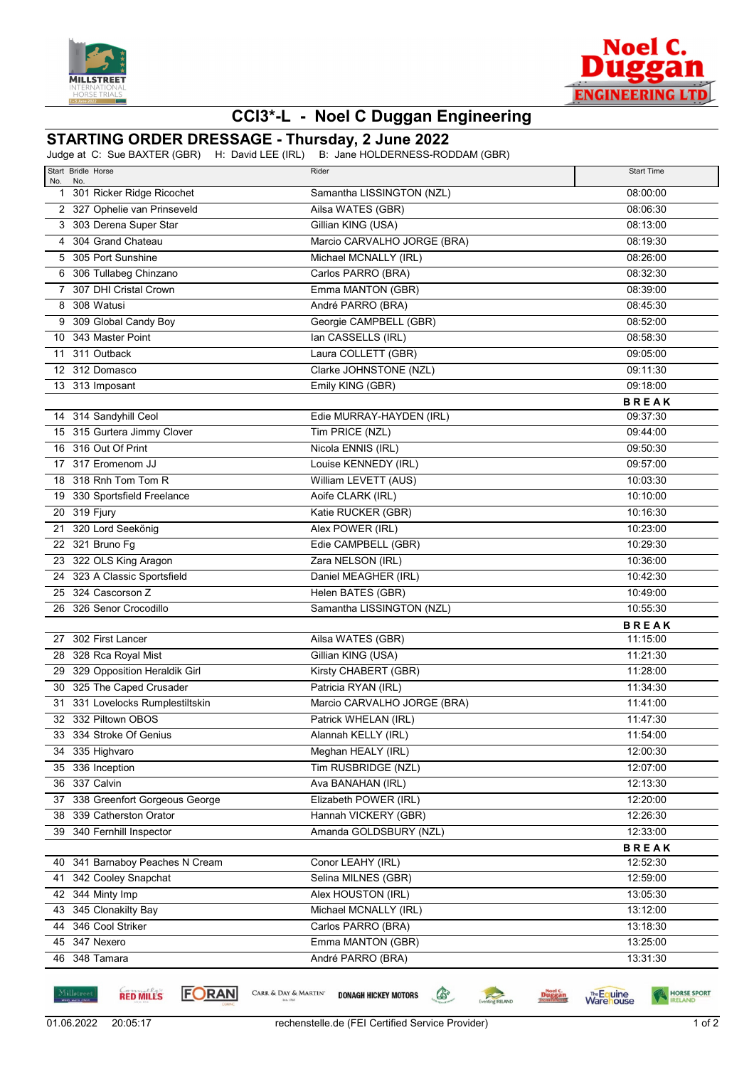



## **CCI3\*-L - Noel C Duggan Engineering**

## **STARTING ORDER DRESSAGE - Thursday, 2 June 2022**

Judge at C: Sue BAXTER (GBR) H: David LEE (IRL) B: Jane HOLDERNESS-RODDAM (GBR)

| Start Bridle Horse                        | Rider                                          | <b>Start Time</b>        |
|-------------------------------------------|------------------------------------------------|--------------------------|
| No.<br>No.<br>1 301 Ricker Ridge Ricochet | Samantha LISSINGTON (NZL)                      | 08:00:00                 |
| 2 327 Ophelie van Prinseveld              | Ailsa WATES (GBR)                              | 08:06:30                 |
| 3 303 Derena Super Star                   | Gillian KING (USA)                             | 08:13:00                 |
| 4 304 Grand Chateau                       | Marcio CARVALHO JORGE (BRA)                    | 08:19:30                 |
| 5 305 Port Sunshine                       | Michael MCNALLY (IRL)                          | 08:26:00                 |
| 6 306 Tullabeg Chinzano                   | Carlos PARRO (BRA)                             | 08:32:30                 |
| 7 307 DHI Cristal Crown                   | Emma MANTON (GBR)                              | 08:39:00                 |
| 8 308 Watusi                              | André PARRO (BRA)                              | 08:45:30                 |
| 9 309 Global Candy Boy                    | Georgie CAMPBELL (GBR)                         | 08:52:00                 |
| 10 343 Master Point                       | lan CASSELLS (IRL)                             | 08:58:30                 |
| 11 311 Outback                            | Laura COLLETT (GBR)                            | 09:05:00                 |
| 12 312 Domasco                            | Clarke JOHNSTONE (NZL)                         | 09:11:30                 |
| 13 313 Imposant                           | Emily KING (GBR)                               | 09:18:00                 |
|                                           |                                                | <b>BREAK</b>             |
| 14 314 Sandyhill Ceol                     | Edie MURRAY-HAYDEN (IRL)                       | 09:37:30                 |
| 15 315 Gurtera Jimmy Clover               | Tim PRICE (NZL)                                | 09:44:00                 |
| 16 316 Out Of Print                       | Nicola ENNIS (IRL)                             | 09:50:30                 |
| 17 317 Eromenom JJ                        | Louise KENNEDY (IRL)                           | 09:57:00                 |
| 18 318 Rnh Tom Tom R                      | William LEVETT (AUS)                           | 10:03:30                 |
| 19 330 Sportsfield Freelance              | Aoife CLARK (IRL)                              | 10:10:00                 |
| 20 319 Fjury                              | Katie RUCKER (GBR)                             | 10:16:30                 |
| 21 320 Lord Seekönig                      | Alex POWER (IRL)                               | 10:23:00                 |
| 22 321 Bruno Fg                           | Edie CAMPBELL (GBR)                            | 10:29:30                 |
| 23 322 OLS King Aragon                    | Zara NELSON (IRL)                              | 10:36:00                 |
| 24 323 A Classic Sportsfield              | Daniel MEAGHER (IRL)                           | 10:42:30                 |
| 25 324 Cascorson Z                        | Helen BATES (GBR)                              | 10:49:00                 |
| 26 326 Senor Crocodillo                   | Samantha LISSINGTON (NZL)                      | 10:55:30                 |
|                                           |                                                | <b>BREAK</b>             |
| 27 302 First Lancer                       | Ailsa WATES (GBR)                              | 11:15:00                 |
| 28 328 Rca Royal Mist                     | Gillian KING (USA)                             | 11:21:30                 |
| 29 329 Opposition Heraldik Girl           | Kirsty CHABERT (GBR)                           | 11:28:00                 |
| 30 325 The Caped Crusader                 | Patricia RYAN (IRL)                            | 11:34:30                 |
| 31 331 Lovelocks Rumplestiltskin          | Marcio CARVALHO JORGE (BRA)                    | 11:41:00                 |
| 32 332 Piltown OBOS                       | Patrick WHELAN (IRL)                           | 11:47:30                 |
| 33 334 Stroke Of Genius                   | Alannah KELLY (IRL)                            | 11:54:00                 |
| 34 335 Highvaro                           | Meghan HEALY (IRL)                             | 12:00:30                 |
| 35 336 Inception                          | Tim RUSBRIDGE (NZL)                            | 12:07:00                 |
| 36 337 Calvin                             | Ava BANAHAN (IRL)                              | 12:13:30                 |
| 37 338 Greenfort Gorgeous George          | Elizabeth POWER (IRL)                          | 12:20:00                 |
| 38 339 Catherston Orator                  | Hannah VICKERY (GBR)<br>Amanda GOLDSBURY (NZL) | 12:26:30                 |
| 39 340 Fernhill Inspector                 |                                                | 12:33:00                 |
| 40 341 Barnaboy Peaches N Cream           | Conor LEAHY (IRL)                              | <b>BREAK</b><br>12:52:30 |
| 41 342 Cooley Snapchat                    | Selina MILNES (GBR)                            | 12:59:00                 |
| 42 344 Minty Imp                          | Alex HOUSTON (IRL)                             | 13:05:30                 |
| 43 345 Clonakilty Bay                     | Michael MCNALLY (IRL)                          | 13:12:00                 |
| 44 346 Cool Striker                       | Carlos PARRO (BRA)                             | 13:18:30                 |
| 45 347 Nexero                             | Emma MANTON (GBR)                              | 13:25:00                 |
| 46 348 Tamara                             | André PARRO (BRA)                              | 13:31:30                 |
|                                           |                                                |                          |

**RED MILLS** 

**FORAN** 

CARR & DAY & MARTIN'

**DONAGH HICKEY MOTORS** 

venting RELAND

**Duggan** 

**Warehouse** 

 $\begin{picture}(220,20) \put(0,0){\line(1,0){10}} \put(15,0){\line(1,0){10}} \put(15,0){\line(1,0){10}} \put(15,0){\line(1,0){10}} \put(15,0){\line(1,0){10}} \put(15,0){\line(1,0){10}} \put(15,0){\line(1,0){10}} \put(15,0){\line(1,0){10}} \put(15,0){\line(1,0){10}} \put(15,0){\line(1,0){10}} \put(15,0){\line(1,0){10}} \put(15,0){\line($ 

HORSE SPORT